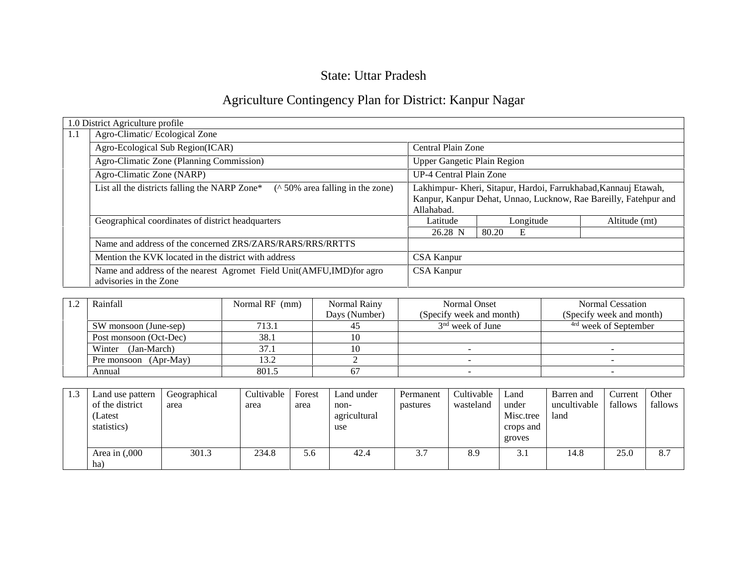# State: Uttar Pradesh

# Agriculture Contingency Plan for District: Kanpur Nagar

|     | 1.0 District Agriculture profile                                                       |                                                                  |            |               |  |
|-----|----------------------------------------------------------------------------------------|------------------------------------------------------------------|------------|---------------|--|
| 1.1 | Agro-Climatic/Ecological Zone                                                          |                                                                  |            |               |  |
|     | Agro-Ecological Sub Region(ICAR)                                                       | Central Plain Zone                                               |            |               |  |
|     | Agro-Climatic Zone (Planning Commission)                                               | <b>Upper Gangetic Plain Region</b>                               |            |               |  |
|     | Agro-Climatic Zone (NARP)                                                              | UP-4 Central Plain Zone                                          |            |               |  |
|     | List all the districts falling the NARP Zone* $(\wedge 50\%$ area falling in the zone) | Lakhimpur- Kheri, Sitapur, Hardoi, Farrukhabad, Kannauj Etawah,  |            |               |  |
|     |                                                                                        | Kanpur, Kanpur Dehat, Unnao, Lucknow, Rae Bareilly, Fatehpur and |            |               |  |
|     |                                                                                        | Allahabad.                                                       |            |               |  |
|     | Geographical coordinates of district headquarters                                      | Latitude                                                         | Longitude  | Altitude (mt) |  |
|     |                                                                                        | 26.28 N                                                          | 80.20<br>E |               |  |
|     | Name and address of the concerned ZRS/ZARS/RARS/RRS/RRTTS                              |                                                                  |            |               |  |
|     | Mention the KVK located in the district with address                                   | <b>CSA Kanpur</b>                                                |            |               |  |
|     | Name and address of the nearest Agromet Field Unit(AMFU,IMD)for agro                   | CSA Kanpur                                                       |            |               |  |
|     | advisories in the Zone                                                                 |                                                                  |            |               |  |

| Rainfall               | Normal RF (mm) | Normal Rainy  | Normal Onset             | Normal Cessation                 |
|------------------------|----------------|---------------|--------------------------|----------------------------------|
|                        |                | Days (Number) | (Specify week and month) | (Specify week and month)         |
| SW monsoon (June-sep)  | 713.1          |               | $3nd$ week of June       | <sup>4rd</sup> week of September |
| Post monsoon (Oct-Dec) | 38.1           |               |                          |                                  |
| Winter (Jan-March)     | 37.1           |               |                          |                                  |
| Pre monsoon (Apr-May)  | 13.2           |               |                          |                                  |
| Annual                 | 801.5          |               |                          |                                  |

| 1.3 | Land use pattern                          | Geographical | Cultivable | Forest | Land under                  | Permanent | Cultivable | Land                                      | Barren and           | Current | Other   |
|-----|-------------------------------------------|--------------|------------|--------|-----------------------------|-----------|------------|-------------------------------------------|----------------------|---------|---------|
|     | of the district<br>(Latest<br>statistics) | area         | area       | area   | non-<br>agricultural<br>use | pastures  | wasteland  | under<br>Misc.tree<br>crops and<br>groves | uncultivable<br>land | fallows | fallows |
|     | Area in $(0.000)$<br>ha)                  | 301.3        | 234.8      | 5.6    | 42.4                        | 3.7       | 8.9        | 3.1                                       | 14.8                 | 25.0    | 8.7     |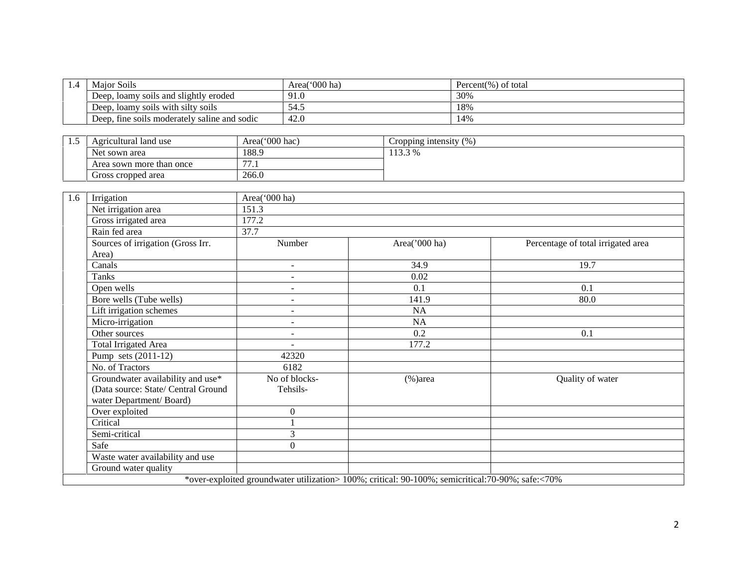| 1.4 | Major Soils                                  |                | Area('000 ha)  |                                                                                                  | Percent(%) of total |                                    |  |  |  |  |
|-----|----------------------------------------------|----------------|----------------|--------------------------------------------------------------------------------------------------|---------------------|------------------------------------|--|--|--|--|
|     | Deep, loamy soils and slightly eroded        |                | 91.0           |                                                                                                  | 30%                 |                                    |  |  |  |  |
|     | Deep, loamy soils with silty soils           |                | 54.5           |                                                                                                  | 18%                 |                                    |  |  |  |  |
|     | Deep, fine soils moderately saline and sodic |                | 42.0           |                                                                                                  | 14%                 |                                    |  |  |  |  |
|     |                                              |                |                |                                                                                                  |                     |                                    |  |  |  |  |
| 1.5 | Agricultural land use                        | Area('000 hac) |                |                                                                                                  |                     |                                    |  |  |  |  |
|     | Net sown area                                | 188.9          |                | 113.3 %                                                                                          |                     |                                    |  |  |  |  |
|     | Area sown more than once                     | 77.1           |                |                                                                                                  |                     |                                    |  |  |  |  |
|     | Gross cropped area                           | 266.0          |                |                                                                                                  |                     |                                    |  |  |  |  |
|     |                                              |                |                |                                                                                                  |                     |                                    |  |  |  |  |
| 1.6 | Irrigation                                   |                | Area('000 ha)  |                                                                                                  |                     |                                    |  |  |  |  |
|     | Net irrigation area                          | 151.3          |                |                                                                                                  |                     |                                    |  |  |  |  |
|     | Gross irrigated area                         | 177.2          |                |                                                                                                  |                     |                                    |  |  |  |  |
|     | Rain fed area                                | 37.7           |                |                                                                                                  |                     |                                    |  |  |  |  |
|     | Sources of irrigation (Gross Irr.            |                | Number         | Area('000 ha)                                                                                    |                     | Percentage of total irrigated area |  |  |  |  |
|     | Area)                                        |                |                |                                                                                                  |                     |                                    |  |  |  |  |
|     | Canals                                       |                | $\blacksquare$ | 34.9                                                                                             |                     | 19.7                               |  |  |  |  |
|     | <b>Tanks</b>                                 |                | $\overline{a}$ | 0.02                                                                                             |                     |                                    |  |  |  |  |
|     | Open wells                                   |                |                | 0.1                                                                                              |                     | 0.1                                |  |  |  |  |
|     | Bore wells (Tube wells)                      |                |                | 141.9                                                                                            |                     | 80.0                               |  |  |  |  |
|     | Lift irrigation schemes                      |                | $\blacksquare$ | NA                                                                                               |                     |                                    |  |  |  |  |
|     | Micro-irrigation                             |                | ÷.             | NA                                                                                               |                     |                                    |  |  |  |  |
|     | Other sources                                |                | $\blacksquare$ | 0.2                                                                                              |                     | 0.1                                |  |  |  |  |
|     | <b>Total Irrigated Area</b>                  |                |                | 177.2                                                                                            |                     |                                    |  |  |  |  |
|     | Pump sets (2011-12)                          |                | 42320          |                                                                                                  |                     |                                    |  |  |  |  |
|     | No. of Tractors                              |                | 6182           |                                                                                                  |                     |                                    |  |  |  |  |
|     | Groundwater availability and use*            |                | No of blocks-  | $%$ )area                                                                                        |                     | Quality of water                   |  |  |  |  |
|     | (Data source: State/ Central Ground          |                | Tehsils-       |                                                                                                  |                     |                                    |  |  |  |  |
|     | water Department/Board)                      |                |                |                                                                                                  |                     |                                    |  |  |  |  |
|     | Over exploited                               | $\mathbf{0}$   |                |                                                                                                  |                     |                                    |  |  |  |  |
|     | Critical                                     | $\mathbf{1}$   |                |                                                                                                  |                     |                                    |  |  |  |  |
|     | Semi-critical                                | 3              |                |                                                                                                  |                     |                                    |  |  |  |  |
|     | Safe                                         |                | $\Omega$       |                                                                                                  |                     |                                    |  |  |  |  |
|     | Waste water availability and use             |                |                |                                                                                                  |                     |                                    |  |  |  |  |
|     | Ground water quality                         |                |                |                                                                                                  |                     |                                    |  |  |  |  |
|     |                                              |                |                | *over-exploited groundwater utilization> 100%; critical: 90-100%; semicritical:70-90%; safe:<70% |                     |                                    |  |  |  |  |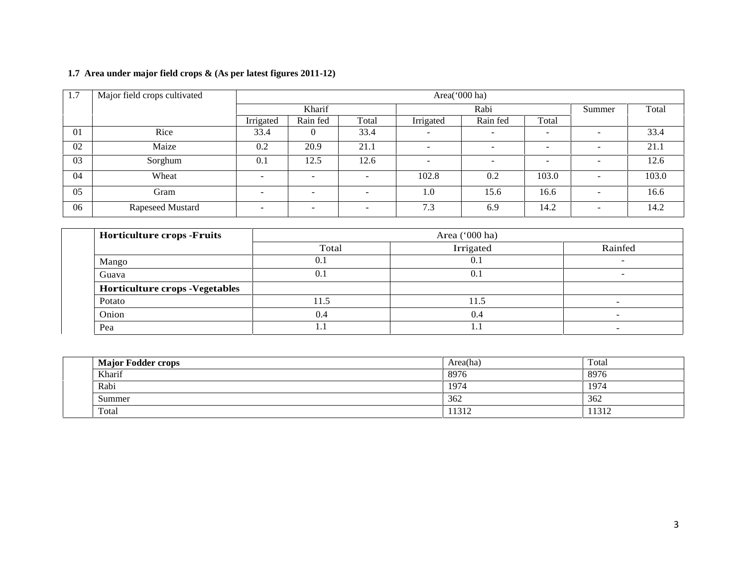#### **1.7 Area under major field crops & (As per latest figures 2011-12)**

| 1.7 | Major field crops cultivated |                          | Area('000 ha)            |                          |           |                          |       |                          |       |
|-----|------------------------------|--------------------------|--------------------------|--------------------------|-----------|--------------------------|-------|--------------------------|-------|
|     |                              |                          | Kharif                   |                          | Rabi      |                          |       | Summer                   | Total |
|     |                              | Irrigated                | Rain fed                 | Total                    | Irrigated | Rain fed                 | Total |                          |       |
| 01  | Rice                         | 33.4                     |                          | 33.4                     |           | $\overline{\phantom{0}}$ |       |                          | 33.4  |
| 02  | Maize                        | 0.2                      | 20.9                     | 21.1                     | -         | $\overline{\phantom{a}}$ | -     |                          | 21.1  |
| 03  | Sorghum                      | 0.1                      | 12.5                     | 12.6                     | -         | $\overline{\phantom{0}}$ | -     |                          | 12.6  |
| 04  | Wheat                        | $\sim$                   | $\overline{\phantom{a}}$ | $\overline{\phantom{a}}$ | 102.8     | 0.2                      | 103.0 | $\overline{\phantom{0}}$ | 103.0 |
| 05  | Gram                         | -                        | $\overline{\phantom{a}}$ | $\overline{\phantom{0}}$ | 1.0       | 15.6                     | 16.6  | $\overline{\phantom{0}}$ | 16.6  |
| 06  | Rapeseed Mustard             | $\overline{\phantom{0}}$ | $\overline{\phantom{0}}$ | $\overline{\phantom{0}}$ | 7.3       | 6.9                      | 14.2  | $\overline{\phantom{a}}$ | 14.2  |

| <b>Horticulture crops -Fruits</b>      | Area ('000 ha) |           |                          |  |  |
|----------------------------------------|----------------|-----------|--------------------------|--|--|
|                                        | Total          | Irrigated | Rainfed                  |  |  |
| Mango                                  | 0.1            | 0.1       | -                        |  |  |
| Guava                                  | 0.1            |           | $\overline{\phantom{0}}$ |  |  |
| <b>Horticulture crops - Vegetables</b> |                |           |                          |  |  |
| Potato                                 | 11.5           | 11.5      |                          |  |  |
| Onion                                  | 0.4            | 0.4       |                          |  |  |
| Pea                                    | 1.1            |           |                          |  |  |

| <b>Major Fodder crops</b> | Area(ha) | Total |
|---------------------------|----------|-------|
| Kharif                    | 8976     | 8976  |
| Rabi                      | 1974     | 1974  |
| Summer                    | 362      | 362   |
| Total                     | 1312     | 11312 |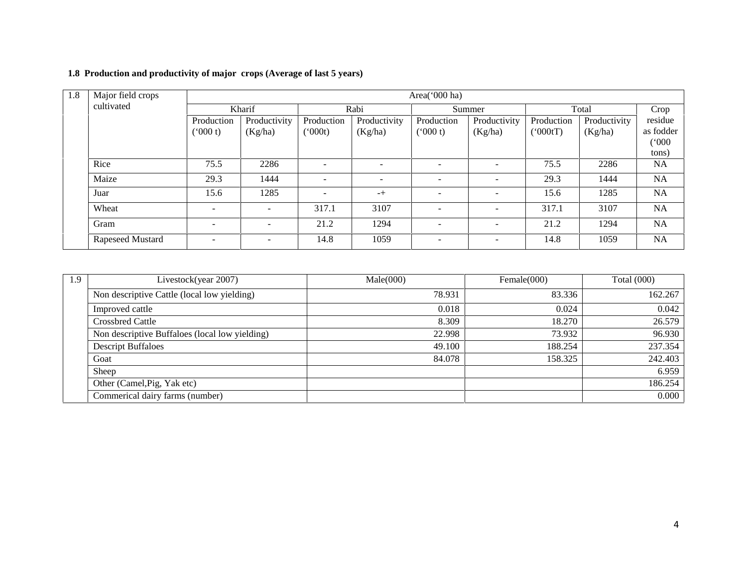## **1.8 Production and productivity of major crops (Average of last 5 years)**

| Major field crops |                          |                          |            |                          | Area(' $000$ ha)         |                          |            |              |           |
|-------------------|--------------------------|--------------------------|------------|--------------------------|--------------------------|--------------------------|------------|--------------|-----------|
| cultivated        |                          | Kharif                   |            | Rabi                     |                          | Summer                   |            | Total        | Crop      |
|                   | Production               | Productivity             | Production | Productivity             | Production               | Productivity             | Production | Productivity | residue   |
|                   | (000 t)                  | (Kg/ha)                  | (000t)     | (Kg/ha)                  | (000 t)                  | (Kg/ha)                  | (000tT)    | (Kg/ha)      | as fodder |
|                   |                          |                          |            |                          |                          |                          |            |              | (000)     |
|                   |                          |                          |            |                          |                          |                          |            |              | tons)     |
| Rice              | 75.5                     | 2286                     | ۰          | $\overline{\phantom{a}}$ | $\overline{\phantom{a}}$ | $\overline{\phantom{a}}$ | 75.5       | 2286         | <b>NA</b> |
| Maize             | 29.3                     | 1444                     | -          | $\overline{\phantom{a}}$ | $\overline{\phantom{0}}$ | $\overline{a}$           | 29.3       | 1444         | NA        |
| Juar              | 15.6                     | 1285                     | -          | $-+$                     | $\overline{a}$           | $\overline{\phantom{a}}$ | 15.6       | 1285         | <b>NA</b> |
| Wheat             | -                        | $\overline{a}$           | 317.1      | 3107                     | $\overline{a}$           | $\overline{\phantom{0}}$ | 317.1      | 3107         | <b>NA</b> |
| Gram              | $\overline{\phantom{a}}$ | $\overline{\phantom{0}}$ | 21.2       | 1294                     | $\overline{\phantom{0}}$ | $\overline{\phantom{a}}$ | 21.2       | 1294         | <b>NA</b> |
| Rapeseed Mustard  | -                        | $\overline{\phantom{a}}$ | 14.8       | 1059                     | $\overline{a}$           | $\overline{\phantom{a}}$ | 14.8       | 1059         | <b>NA</b> |

| 1.9 | Livestock(year 2007)                           | Male(000) | Female(000) | Total $(000)$ |
|-----|------------------------------------------------|-----------|-------------|---------------|
|     | Non descriptive Cattle (local low yielding)    | 78.931    | 83.336      | 162.267       |
|     | Improved cattle                                | 0.018     | 0.024       | 0.042         |
|     | <b>Crossbred Cattle</b>                        | 8.309     | 18.270      | 26.579        |
|     | Non descriptive Buffaloes (local low yielding) | 22.998    | 73.932      | 96.930        |
|     | <b>Descript Buffaloes</b>                      | 49.100    | 188.254     | 237.354       |
|     | Goat                                           | 84.078    | 158.325     | 242.403       |
|     | Sheep                                          |           |             | 6.959         |
|     | Other (Camel, Pig, Yak etc)                    |           |             | 186.254       |
|     | Commerical dairy farms (number)                |           |             | 0.000         |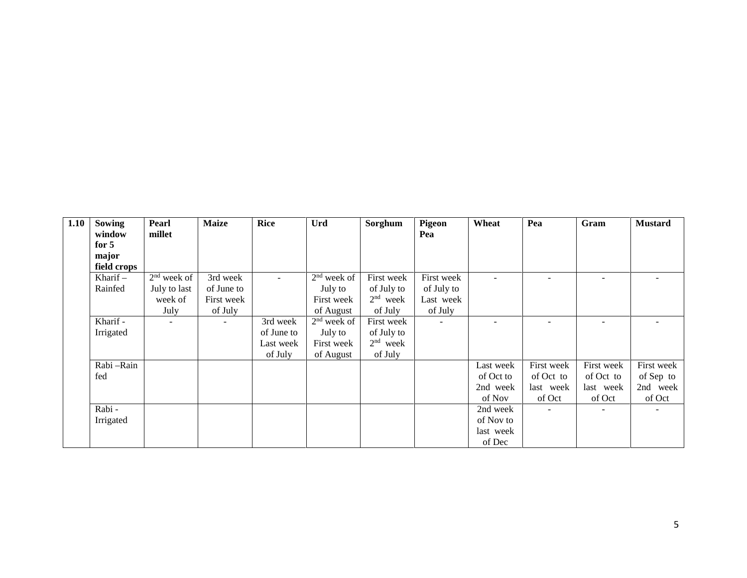| <b>Sowing</b><br>1.10<br>window | Pearl<br>millet          | <b>Maize</b>             | <b>Rice</b> | <b>Urd</b>    | Sorghum    | <b>Pigeon</b><br>Pea | Wheat     | Pea                      | Gram                     | <b>Mustard</b>           |
|---------------------------------|--------------------------|--------------------------|-------------|---------------|------------|----------------------|-----------|--------------------------|--------------------------|--------------------------|
| for $5$                         |                          |                          |             |               |            |                      |           |                          |                          |                          |
| major                           |                          |                          |             |               |            |                      |           |                          |                          |                          |
| field crops                     |                          |                          |             |               |            |                      |           |                          |                          |                          |
| Kharif $-$                      | $2nd$ week of            | 3rd week                 | $\sim$      | $2nd$ week of | First week | First week           |           |                          | $\overline{\phantom{a}}$ | $\overline{\phantom{a}}$ |
| Rainfed                         | July to last             | of June to               |             | July to       | of July to | of July to           |           |                          |                          |                          |
|                                 | week of                  | First week               |             | First week    | $2nd$ week | Last week            |           |                          |                          |                          |
|                                 | July                     | of July                  |             | of August     | of July    | of July              |           |                          |                          |                          |
| Kharif -                        | $\overline{\phantom{a}}$ | $\overline{\phantom{a}}$ | 3rd week    | $2nd$ week of | First week | $\blacksquare$       |           |                          |                          | $\qquad \qquad -$        |
| Irrigated                       |                          |                          | of June to  | July to       | of July to |                      |           |                          |                          |                          |
|                                 |                          |                          | Last week   | First week    | $2nd$ week |                      |           |                          |                          |                          |
|                                 |                          |                          | of July     | of August     | of July    |                      |           |                          |                          |                          |
| Rabi - Rain                     |                          |                          |             |               |            |                      | Last week | First week               | First week               | First week               |
| fed                             |                          |                          |             |               |            |                      | of Oct to | of Oct to                | of Oct to                | of Sep to                |
|                                 |                          |                          |             |               |            |                      | 2nd week  | last week                | last week                | 2nd week                 |
|                                 |                          |                          |             |               |            |                      | of Nov    | of Oct                   | of Oct                   | of Oct                   |
| Rabi-                           |                          |                          |             |               |            |                      | 2nd week  | $\overline{\phantom{a}}$ | $\overline{\phantom{0}}$ | $\overline{\phantom{a}}$ |
| Irrigated                       |                          |                          |             |               |            |                      | of Nov to |                          |                          |                          |
|                                 |                          |                          |             |               |            |                      | last week |                          |                          |                          |
|                                 |                          |                          |             |               |            |                      | of Dec    |                          |                          |                          |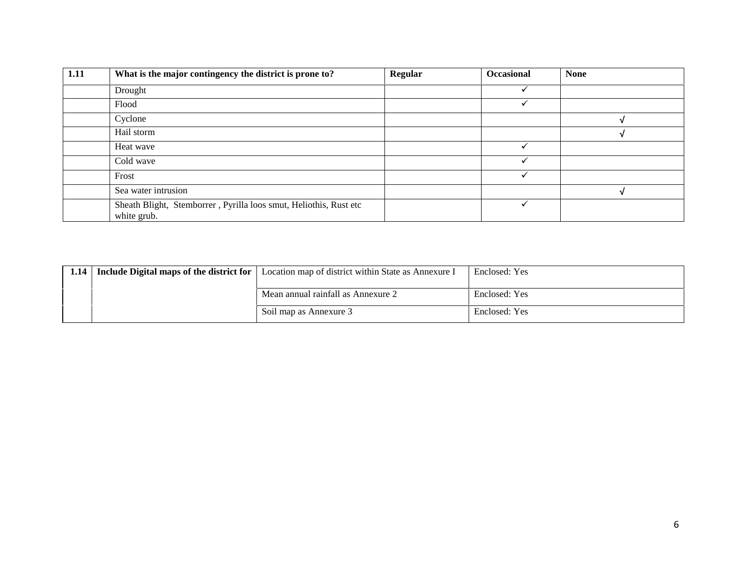| 1.11 | What is the major contingency the district is prone to?                          | <b>Regular</b> | Occasional | <b>None</b> |
|------|----------------------------------------------------------------------------------|----------------|------------|-------------|
|      | Drought                                                                          |                | ✓          |             |
|      | Flood                                                                            |                | ✓          |             |
|      | Cyclone                                                                          |                |            |             |
|      | Hail storm                                                                       |                |            |             |
|      | Heat wave                                                                        |                | ✓          |             |
|      | Cold wave                                                                        |                | ✓          |             |
|      | Frost                                                                            |                | ✓          |             |
|      | Sea water intrusion                                                              |                |            |             |
|      | Sheath Blight, Stemborrer, Pyrilla loos smut, Heliothis, Rust etc<br>white grub. |                | ✓          |             |

| 1.14   Include Digital maps of the district for | Location map of district within State as Annexure I | Enclosed: Yes |
|-------------------------------------------------|-----------------------------------------------------|---------------|
|                                                 |                                                     |               |
|                                                 | Mean annual rainfall as Annexure 2                  | Enclosed: Yes |
|                                                 | Soil map as Annexure 3                              | Enclosed: Yes |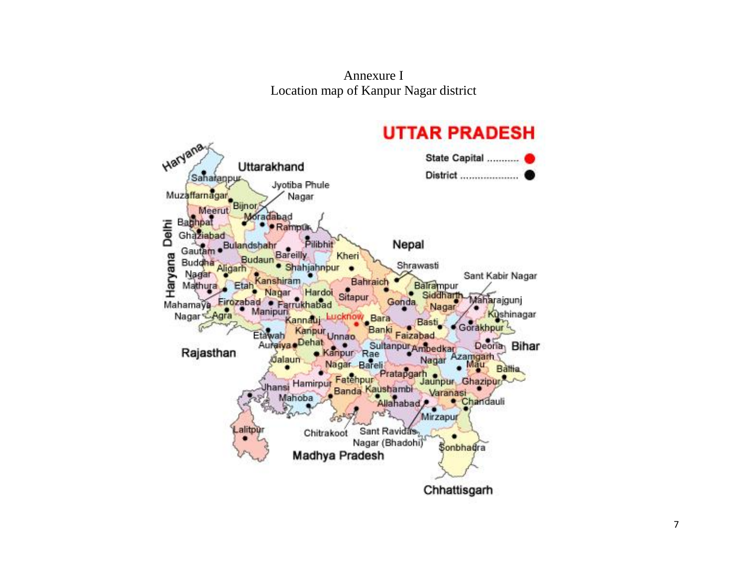Annexure I Location map of Kanpur Nagar district

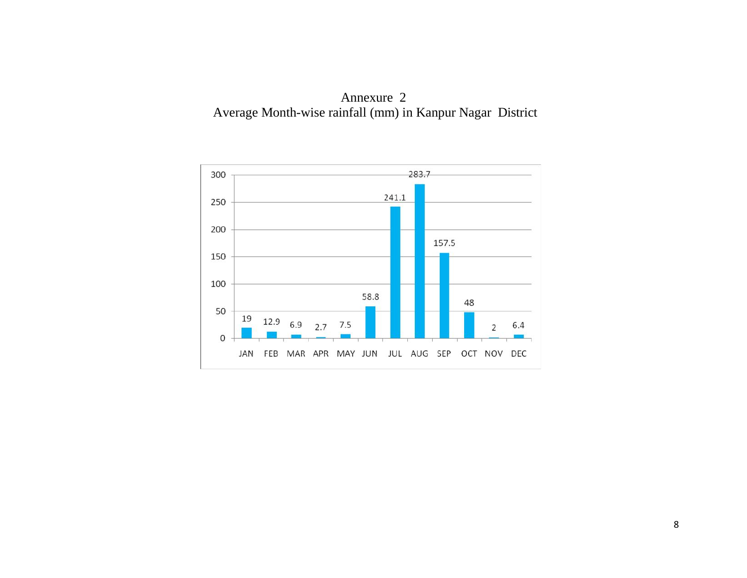

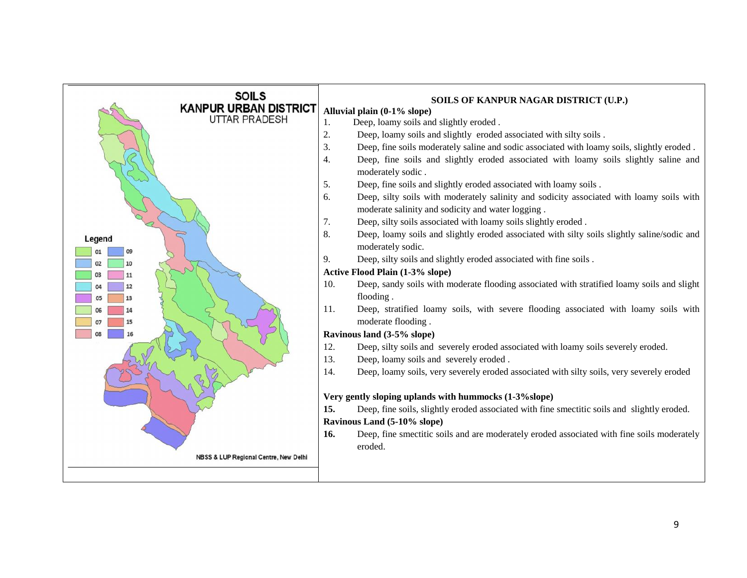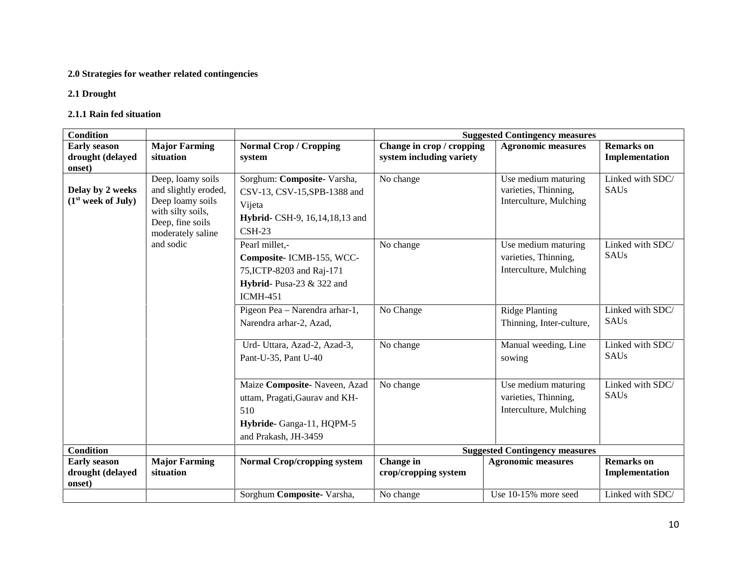#### **2.0 Strategies for weather related contingencies**

#### **2.1 Drought**

#### **2.1.1 Rain fed situation**

| <b>Condition</b>                                                                                                                                                                  | <b>Suggested Contingency measures</b>                                                                                 |                                                                                                                                |                                                                       |                                                                       |                                     |  |
|-----------------------------------------------------------------------------------------------------------------------------------------------------------------------------------|-----------------------------------------------------------------------------------------------------------------------|--------------------------------------------------------------------------------------------------------------------------------|-----------------------------------------------------------------------|-----------------------------------------------------------------------|-------------------------------------|--|
| <b>Early season</b><br>drought (delayed<br>onset)                                                                                                                                 | <b>Major Farming</b><br>situation                                                                                     | <b>Normal Crop / Cropping</b><br>system                                                                                        | Change in crop / cropping<br>system including variety                 | <b>Agronomic measures</b>                                             | <b>Remarks</b> on<br>Implementation |  |
| Deep, loamy soils<br>and slightly eroded,<br>Delay by 2 weeks<br>Deep loamy soils<br>(1 <sup>st</sup> week of July)<br>with silty soils,<br>Deep, fine soils<br>moderately saline | Sorghum: Composite-Varsha,<br>CSV-13, CSV-15, SPB-1388 and<br>Vijeta<br>Hybrid- CSH-9, 16, 14, 18, 13 and<br>$CSH-23$ | No change                                                                                                                      | Use medium maturing<br>varieties, Thinning,<br>Interculture, Mulching | Linked with SDC/<br><b>SAUs</b>                                       |                                     |  |
|                                                                                                                                                                                   | and sodic                                                                                                             | Pearl millet,-<br>Composite-ICMB-155, WCC-<br>75, ICTP-8203 and Raj-171<br><b>Hybrid-</b> Pusa-23 & 322 and<br><b>ICMH-451</b> | No change                                                             | Use medium maturing<br>varieties, Thinning,<br>Interculture, Mulching | Linked with SDC/<br><b>SAUs</b>     |  |
|                                                                                                                                                                                   |                                                                                                                       | Pigeon Pea - Narendra arhar-1,<br>Narendra arhar-2, Azad,                                                                      | No Change                                                             | <b>Ridge Planting</b><br>Thinning, Inter-culture,                     | Linked with SDC/<br><b>SAUs</b>     |  |
|                                                                                                                                                                                   |                                                                                                                       | Urd- Uttara, Azad-2, Azad-3,<br>Pant-U-35, Pant U-40                                                                           | No change                                                             | Manual weeding, Line<br>sowing                                        | Linked with SDC/<br><b>SAUs</b>     |  |
|                                                                                                                                                                                   |                                                                                                                       | Maize Composite-Naveen, Azad<br>uttam, Pragati, Gaurav and KH-<br>510<br>Hybride- Ganga-11, HQPM-5<br>and Prakash, JH-3459     | No change                                                             | Use medium maturing<br>varieties, Thinning,<br>Interculture, Mulching | Linked with SDC/<br><b>SAUs</b>     |  |
| <b>Condition</b>                                                                                                                                                                  |                                                                                                                       |                                                                                                                                |                                                                       | <b>Suggested Contingency measures</b>                                 |                                     |  |
| <b>Early season</b><br>drought (delayed<br>onset)                                                                                                                                 | <b>Major Farming</b><br>situation                                                                                     | <b>Normal Crop/cropping system</b>                                                                                             | Change in<br>crop/cropping system                                     | <b>Agronomic measures</b>                                             | <b>Remarks</b> on<br>Implementation |  |
|                                                                                                                                                                                   |                                                                                                                       | Sorghum Composite-Varsha,                                                                                                      | No change                                                             | Use 10-15% more seed                                                  | Linked with SDC/                    |  |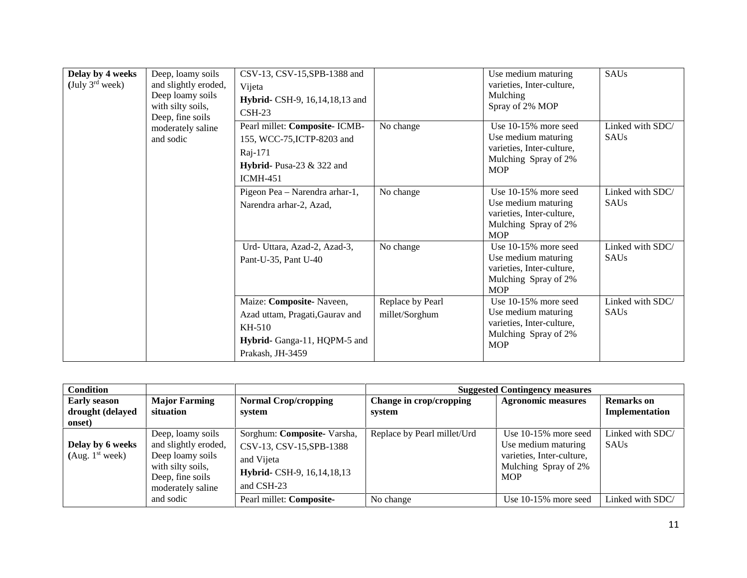| Deep, loamy soils<br>Delay by 4 weeks<br>(July $3^{\text{rd}}$ week)<br>and slightly eroded,<br>Deep loamy soils<br>with silty soils,<br>Deep, fine soils | CSV-13, CSV-15, SPB-1388 and<br>Vijeta<br><b>Hybrid-</b> CSH-9, 16, 14, 18, 13 and<br>$CSH-23$ |                                                                                                                                   | Use medium maturing<br>varieties, Inter-culture,<br>Mulching<br>Spray of 2% MOP | <b>SAUs</b>                                                                                                       |                                 |
|-----------------------------------------------------------------------------------------------------------------------------------------------------------|------------------------------------------------------------------------------------------------|-----------------------------------------------------------------------------------------------------------------------------------|---------------------------------------------------------------------------------|-------------------------------------------------------------------------------------------------------------------|---------------------------------|
|                                                                                                                                                           | moderately saline<br>and sodic                                                                 | Pearl millet: Composite- ICMB-<br>155, WCC-75, ICTP-8203 and<br>Raj-171<br><b>Hybrid-</b> Pusa-23 $\&$ 322 and<br><b>ICMH-451</b> | No change                                                                       | Use $10-15%$ more seed<br>Use medium maturing<br>varieties, Inter-culture,<br>Mulching Spray of 2%<br><b>MOP</b>  | Linked with SDC/<br><b>SAUs</b> |
|                                                                                                                                                           |                                                                                                | Pigeon Pea - Narendra arhar-1,<br>Narendra arhar-2, Azad,                                                                         | No change                                                                       | Use $10-15%$ more seed<br>Use medium maturing<br>varieties, Inter-culture,<br>Mulching Spray of 2%<br><b>MOP</b>  | Linked with SDC/<br><b>SAUs</b> |
|                                                                                                                                                           |                                                                                                | Urd- Uttara, Azad-2, Azad-3,<br>Pant-U-35, Pant U-40                                                                              | No change                                                                       | Use $10-15%$ more seed<br>Use medium maturing<br>varieties, Inter-culture,<br>Mulching Spray of 2%<br><b>MOP</b>  | Linked with SDC/<br><b>SAUs</b> |
|                                                                                                                                                           |                                                                                                | Maize: Composite-Naveen,<br>Azad uttam, Pragati, Gaurav and<br>KH-510<br>Hybrid- Ganga-11, HQPM-5 and<br>Prakash, JH-3459         | Replace by Pearl<br>millet/Sorghum                                              | Use $10-15\%$ more seed<br>Use medium maturing<br>varieties, Inter-culture,<br>Mulching Spray of 2%<br><b>MOP</b> | Linked with SDC/<br><b>SAUs</b> |

| <b>Condition</b>                                  |                                                                                                                             |                                                                                                                     | <b>Suggested Contingency measures</b> |                                                                                                                   |                                     |  |
|---------------------------------------------------|-----------------------------------------------------------------------------------------------------------------------------|---------------------------------------------------------------------------------------------------------------------|---------------------------------------|-------------------------------------------------------------------------------------------------------------------|-------------------------------------|--|
| <b>Early season</b><br>drought (delayed<br>onset) | <b>Major Farming</b><br>situation                                                                                           | <b>Normal Crop/cropping</b><br>system                                                                               | Change in crop/cropping<br>system     | <b>Agronomic measures</b>                                                                                         | <b>Remarks</b> on<br>Implementation |  |
| Delay by 6 weeks<br>(Aug. 1 <sup>st</sup> week)   | Deep, loamy soils<br>and slightly eroded,<br>Deep loamy soils<br>with silty soils,<br>Deep, fine soils<br>moderately saline | Sorghum: Composite-Varsha,<br>CSV-13, CSV-15, SPB-1388<br>and Vijeta<br>Hybrid- CSH-9, 16, 14, 18, 13<br>and CSH-23 | Replace by Pearl millet/Urd           | Use $10-15\%$ more seed<br>Use medium maturing<br>varieties, Inter-culture,<br>Mulching Spray of 2%<br><b>MOP</b> | Linked with SDC/<br><b>SAUs</b>     |  |
|                                                   | and sodic                                                                                                                   | Pearl millet: Composite-                                                                                            | No change                             | Use $10-15\%$ more seed                                                                                           | Linked with SDC/                    |  |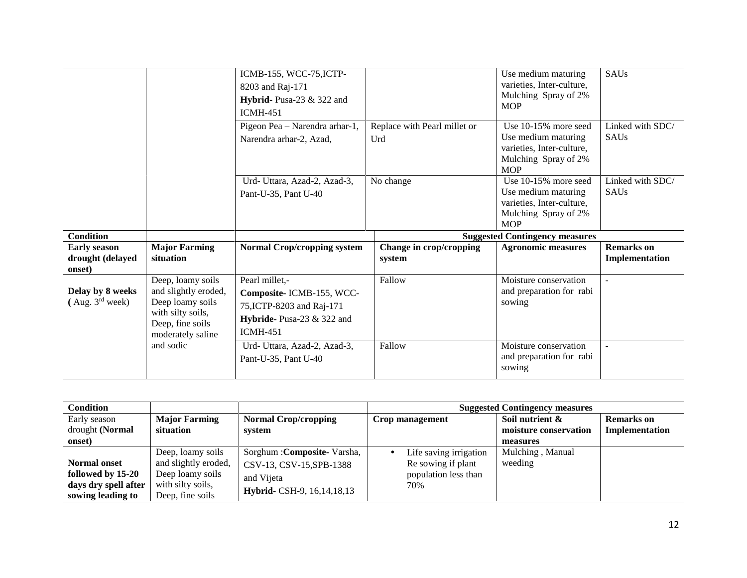|                                                           |                                                                                                                             | ICMB-155, WCC-75, ICTP-<br>8203 and Raj-171<br>Hybrid- Pusa-23 $&$ 322 and<br><b>ICMH-451</b>                           |                                     | Use medium maturing<br>varieties, Inter-culture,<br>Mulching Spray of 2%<br><b>MOP</b>                         | SAUs                                |
|-----------------------------------------------------------|-----------------------------------------------------------------------------------------------------------------------------|-------------------------------------------------------------------------------------------------------------------------|-------------------------------------|----------------------------------------------------------------------------------------------------------------|-------------------------------------|
|                                                           |                                                                                                                             | Pigeon Pea - Narendra arhar-1,<br>Narendra arhar-2, Azad,                                                               | Replace with Pearl millet or<br>Urd | Use 10-15% more seed<br>Use medium maturing<br>varieties, Inter-culture,<br>Mulching Spray of 2%<br><b>MOP</b> | Linked with SDC/<br><b>SAUs</b>     |
|                                                           |                                                                                                                             | Urd- Uttara, Azad-2, Azad-3,<br>Pant-U-35, Pant U-40                                                                    | No change                           | Use 10-15% more seed<br>Use medium maturing<br>varieties, Inter-culture,<br>Mulching Spray of 2%<br><b>MOP</b> | Linked with SDC/<br><b>SAUs</b>     |
| <b>Condition</b>                                          |                                                                                                                             |                                                                                                                         |                                     | <b>Suggested Contingency measures</b>                                                                          |                                     |
|                                                           |                                                                                                                             |                                                                                                                         |                                     |                                                                                                                |                                     |
| <b>Early season</b><br>drought (delayed                   | <b>Major Farming</b><br>situation                                                                                           | Normal Crop/cropping system                                                                                             | Change in crop/cropping<br>system   | <b>Agronomic measures</b>                                                                                      | <b>Remarks</b> on<br>Implementation |
| onset)<br>Delay by 8 weeks<br>(Aug. 3 <sup>rd</sup> week) | Deep, loamy soils<br>and slightly eroded,<br>Deep loamy soils<br>with silty soils,<br>Deep, fine soils<br>moderately saline | Pearl millet,-<br>Composite-ICMB-155, WCC-<br>75, ICTP-8203 and Raj-171<br>Hybride-Pusa-23 & 322 and<br><b>ICMH-451</b> | Fallow                              | Moisture conservation<br>and preparation for rabi<br>sowing                                                    | $\sim$                              |

| <b>Condition</b>     |                      |                                    |                        | <b>Suggested Contingency measures</b> |                   |
|----------------------|----------------------|------------------------------------|------------------------|---------------------------------------|-------------------|
| Early season         | <b>Major Farming</b> | <b>Normal Crop/cropping</b>        | Crop management        | Soil nutrient &                       | <b>Remarks</b> on |
| drought (Normal      | situation            | system                             |                        | moisture conservation                 | Implementation    |
| onset)               |                      |                                    |                        | measures                              |                   |
|                      | Deep, loamy soils    | Sorghum : <b>Composite</b> Varsha, | Life saving irrigation | Mulching, Manual                      |                   |
| <b>Normal onset</b>  | and slightly eroded, | CSV-13, CSV-15, SPB-1388           | Re sowing if plant     | weeding                               |                   |
| followed by 15-20    | Deep loamy soils     | and Vijeta                         | population less than   |                                       |                   |
| days dry spell after | with silty soils,    |                                    | 70%                    |                                       |                   |
| sowing leading to    | Deep, fine soils     | Hybrid- CSH-9, 16, 14, 18, 13      |                        |                                       |                   |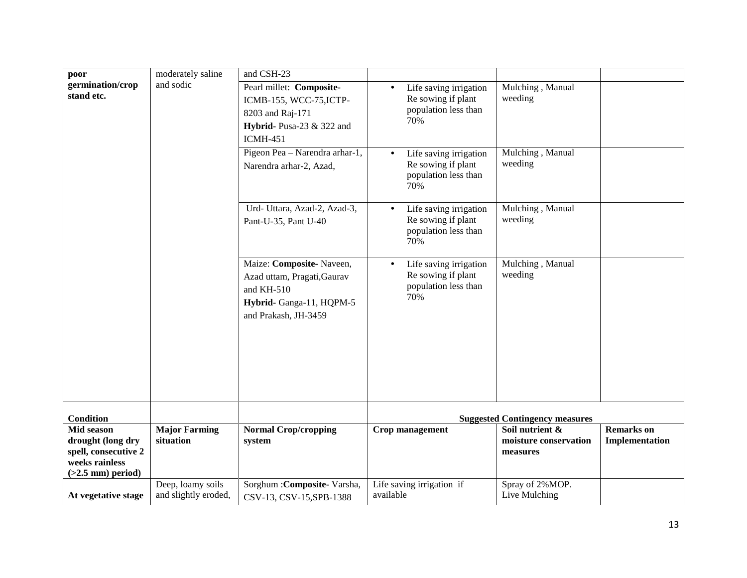| poor<br>germination/crop<br>stand etc.                                                           | moderately saline<br>and sodic            | and CSH-23<br>Pearl millet: Composite-<br>ICMB-155, WCC-75, ICTP-<br>8203 and Raj-171<br>Hybrid-Pusa-23 & 322 and<br><b>ICMH-451</b><br>Pigeon Pea - Narendra arhar-1,<br>Narendra arhar-2, Azad,<br>Urd- Uttara, Azad-2, Azad-3,<br>Pant-U-35, Pant U-40<br>Maize: Composite-Naveen,<br>Azad uttam, Pragati, Gaurav<br>and KH-510<br>Hybrid-Ganga-11, HQPM-5<br>and Prakash, JH-3459 | Life saving irrigation<br>$\bullet$<br>Re sowing if plant<br>population less than<br>70%<br>Life saving irrigation<br>Re sowing if plant<br>population less than<br>70%<br>Life saving irrigation<br>Re sowing if plant<br>population less than<br>70%<br>Life saving irrigation<br>Re sowing if plant<br>population less than<br>70% | Mulching, Manual<br>weeding<br>Mulching, Manual<br>weeding<br>Mulching, Manual<br>weeding<br>Mulching, Manual<br>weeding |                                     |
|--------------------------------------------------------------------------------------------------|-------------------------------------------|---------------------------------------------------------------------------------------------------------------------------------------------------------------------------------------------------------------------------------------------------------------------------------------------------------------------------------------------------------------------------------------|---------------------------------------------------------------------------------------------------------------------------------------------------------------------------------------------------------------------------------------------------------------------------------------------------------------------------------------|--------------------------------------------------------------------------------------------------------------------------|-------------------------------------|
| <b>Condition</b>                                                                                 |                                           |                                                                                                                                                                                                                                                                                                                                                                                       |                                                                                                                                                                                                                                                                                                                                       | <b>Suggested Contingency measures</b>                                                                                    |                                     |
| Mid season<br>drought (long dry<br>spell, consecutive 2<br>weeks rainless<br>$(>2.5$ mm) period) | <b>Major Farming</b><br>situation         | <b>Normal Crop/cropping</b><br>system                                                                                                                                                                                                                                                                                                                                                 | Crop management                                                                                                                                                                                                                                                                                                                       | Soil nutrient &<br>moisture conservation<br>measures                                                                     | <b>Remarks</b> on<br>Implementation |
| At vegetative stage                                                                              | Deep, loamy soils<br>and slightly eroded, | Sorghum: Composite-Varsha,<br>CSV-13, CSV-15, SPB-1388                                                                                                                                                                                                                                                                                                                                | Life saving irrigation if<br>available                                                                                                                                                                                                                                                                                                | Spray of 2%MOP.<br>Live Mulching                                                                                         |                                     |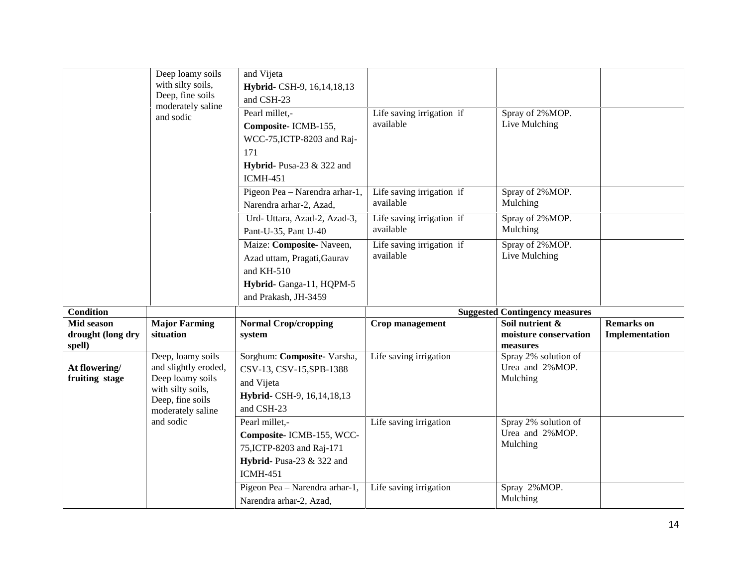|                                           | Deep loamy soils<br>with silty soils,<br>Deep, fine soils<br>moderately saline<br>and sodic                                 | and Vijeta<br>Hybrid- CSH-9, 16, 14, 18, 13<br>and CSH-23<br>Pearl millet,-<br>Composite-ICMB-155,<br>WCC-75, ICTP-8203 and Raj-<br>171<br>Hybrid- Pusa-23 $&$ 322 and<br><b>ICMH-451</b><br>Pigeon Pea - Narendra arhar-1, | Life saving irrigation if<br>available<br>Life saving irrigation if | Spray of 2%MOP.<br>Live Mulching<br>Spray of 2%MOP.  |                                     |
|-------------------------------------------|-----------------------------------------------------------------------------------------------------------------------------|-----------------------------------------------------------------------------------------------------------------------------------------------------------------------------------------------------------------------------|---------------------------------------------------------------------|------------------------------------------------------|-------------------------------------|
|                                           |                                                                                                                             | Narendra arhar-2, Azad,<br>Urd- Uttara, Azad-2, Azad-3,<br>Pant-U-35, Pant U-40                                                                                                                                             | available<br>Life saving irrigation if<br>available                 | Mulching<br>Spray of 2%MOP.<br>Mulching              |                                     |
|                                           |                                                                                                                             | Maize: Composite-Naveen,<br>Azad uttam, Pragati, Gaurav<br>and KH-510<br>Hybrid-Ganga-11, HQPM-5<br>and Prakash, JH-3459                                                                                                    | Life saving irrigation if<br>available                              | Spray of 2%MOP.<br>Live Mulching                     |                                     |
| <b>Condition</b>                          |                                                                                                                             |                                                                                                                                                                                                                             |                                                                     | <b>Suggested Contingency measures</b>                |                                     |
| Mid season<br>drought (long dry<br>spell) | <b>Major Farming</b><br>situation                                                                                           | <b>Normal Crop/cropping</b><br>system                                                                                                                                                                                       | Crop management                                                     | Soil nutrient &<br>moisture conservation<br>measures | <b>Remarks</b> on<br>Implementation |
| At flowering/<br>fruiting stage           | Deep, loamy soils<br>and slightly eroded,<br>Deep loamy soils<br>with silty soils,<br>Deep, fine soils<br>moderately saline | Sorghum: Composite-Varsha,<br>CSV-13, CSV-15, SPB-1388<br>and Vijeta<br>Hybrid- CSH-9, 16, 14, 18, 13<br>and CSH-23                                                                                                         | Life saving irrigation                                              | Spray 2% solution of<br>Urea and 2%MOP.<br>Mulching  |                                     |
|                                           | and sodic                                                                                                                   | Pearl millet,-<br>Composite-ICMB-155, WCC-<br>75, ICTP-8203 and Raj-171<br>Hybrid- Pusa-23 & 322 and                                                                                                                        | Life saving irrigation                                              | Spray 2% solution of<br>Urea and 2%MOP.<br>Mulching  |                                     |
|                                           |                                                                                                                             | <b>ICMH-451</b>                                                                                                                                                                                                             |                                                                     |                                                      |                                     |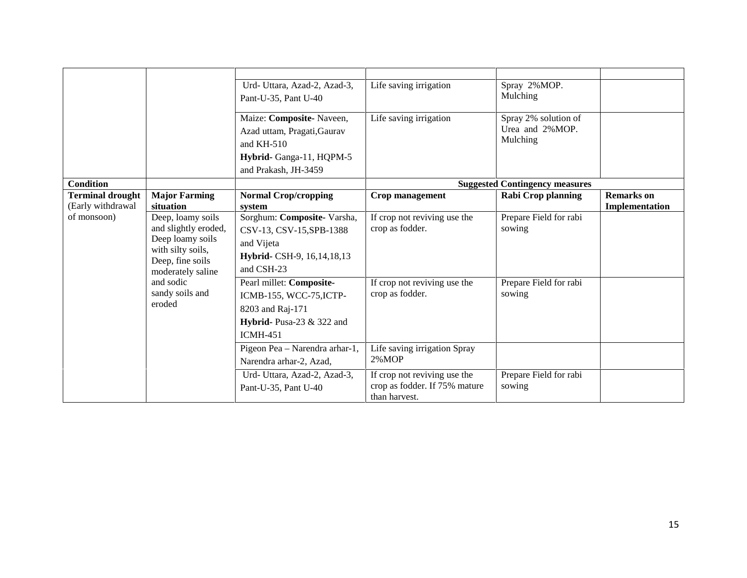|                                                                                                                                                                                      |                                                                                                                     | Urd- Uttara, Azad-2, Azad-3,<br>Pant-U-35, Pant U-40                                                                       | Life saving irrigation                                                         | Spray 2%MOP.<br>Mulching                            |                                     |
|--------------------------------------------------------------------------------------------------------------------------------------------------------------------------------------|---------------------------------------------------------------------------------------------------------------------|----------------------------------------------------------------------------------------------------------------------------|--------------------------------------------------------------------------------|-----------------------------------------------------|-------------------------------------|
|                                                                                                                                                                                      |                                                                                                                     | Maize: Composite-Naveen,<br>Azad uttam, Pragati, Gaurav<br>and $KH-510$<br>Hybrid-Ganga-11, HQPM-5<br>and Prakash, JH-3459 | Life saving irrigation                                                         | Spray 2% solution of<br>Urea and 2%MOP.<br>Mulching |                                     |
| <b>Condition</b>                                                                                                                                                                     |                                                                                                                     |                                                                                                                            |                                                                                | <b>Suggested Contingency measures</b>               |                                     |
| <b>Terminal drought</b><br>(Early withdrawal                                                                                                                                         | <b>Major Farming</b><br>situation                                                                                   | <b>Normal Crop/cropping</b><br>system                                                                                      | Crop management                                                                | <b>Rabi Crop planning</b>                           | <b>Remarks</b> on<br>Implementation |
| of monsoon)<br>Deep, loamy soils<br>and slightly eroded,<br>Deep loamy soils<br>with silty soils,<br>Deep, fine soils<br>moderately saline<br>and sodic<br>sandy soils and<br>eroded | Sorghum: Composite-Varsha,<br>CSV-13, CSV-15, SPB-1388<br>and Vijeta<br>Hybrid- CSH-9, 16, 14, 18, 13<br>and CSH-23 | If crop not reviving use the<br>crop as fodder.                                                                            | Prepare Field for rabi<br>sowing                                               |                                                     |                                     |
|                                                                                                                                                                                      |                                                                                                                     | Pearl millet: Composite-<br>ICMB-155, WCC-75, ICTP-<br>8203 and Raj-171<br>Hybrid- Pusa-23 $&$ 322 and<br><b>ICMH-451</b>  | If crop not reviving use the<br>crop as fodder.                                | Prepare Field for rabi<br>sowing                    |                                     |
|                                                                                                                                                                                      | Pigeon Pea - Narendra arhar-1,<br>Narendra arhar-2, Azad,                                                           | Life saving irrigation Spray<br>2%MOP                                                                                      |                                                                                |                                                     |                                     |
|                                                                                                                                                                                      |                                                                                                                     | Urd- Uttara, Azad-2, Azad-3,<br>Pant-U-35, Pant U-40                                                                       | If crop not reviving use the<br>crop as fodder. If 75% mature<br>than harvest. | Prepare Field for rabi<br>sowing                    |                                     |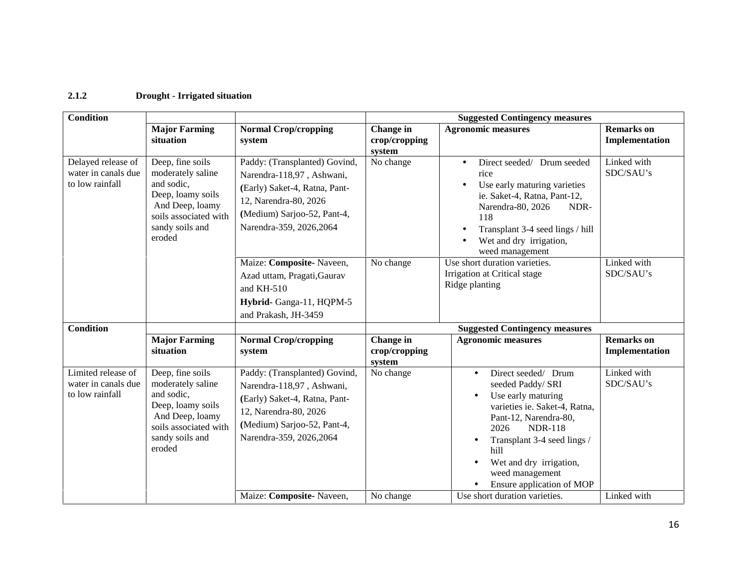#### **2.1.2 Drought - Irrigated situation**

| <b>Condition</b>                                             |                                                                                                                                                   |                                                                                                                                                                                 | <b>Suggested Contingency measures</b> |                                                                                                                                                                                                                                                                                   |                                     |  |  |
|--------------------------------------------------------------|---------------------------------------------------------------------------------------------------------------------------------------------------|---------------------------------------------------------------------------------------------------------------------------------------------------------------------------------|---------------------------------------|-----------------------------------------------------------------------------------------------------------------------------------------------------------------------------------------------------------------------------------------------------------------------------------|-------------------------------------|--|--|
|                                                              | <b>Major Farming</b><br>situation                                                                                                                 | <b>Normal Crop/cropping</b><br>system                                                                                                                                           | Change in<br>crop/cropping<br>system  | <b>Agronomic measures</b>                                                                                                                                                                                                                                                         | <b>Remarks</b> on<br>Implementation |  |  |
| Delayed release of<br>water in canals due<br>to low rainfall | Deep, fine soils<br>moderately saline<br>and sodic.<br>Deep, loamy soils<br>And Deep, loamy<br>soils associated with<br>sandy soils and<br>eroded | Paddy: (Transplanted) Govind,<br>Narendra-118,97, Ashwani,<br>(Early) Saket-4, Ratna, Pant-<br>12, Narendra-80, 2026<br>(Medium) Sarjoo-52, Pant-4,<br>Narendra-359, 2026, 2064 | No change                             | Direct seeded/ Drum seeded<br>$\bullet$<br>rice<br>Use early maturing varieties<br>$\bullet$<br>ie. Saket-4, Ratna, Pant-12,<br>Narendra-80, 2026<br>NDR-<br>118<br>Transplant 3-4 seed lings / hill<br>$\bullet$<br>Wet and dry irrigation,<br>weed management                   | Linked with<br>SDC/SAU's            |  |  |
|                                                              |                                                                                                                                                   | Maize: Composite-Naveen,<br>Azad uttam, Pragati, Gaurav<br>and KH-510<br>Hybrid-Ganga-11, HQPM-5<br>and Prakash, JH-3459                                                        | No change                             | Use short duration varieties.<br>Irrigation at Critical stage<br>Ridge planting                                                                                                                                                                                                   | Linked with<br>SDC/SAU's            |  |  |
| <b>Condition</b>                                             |                                                                                                                                                   |                                                                                                                                                                                 |                                       | <b>Suggested Contingency measures</b>                                                                                                                                                                                                                                             |                                     |  |  |
|                                                              | <b>Major Farming</b><br>situation                                                                                                                 | <b>Normal Crop/cropping</b><br>system                                                                                                                                           | Change in<br>crop/cropping<br>system  | <b>Agronomic measures</b>                                                                                                                                                                                                                                                         | <b>Remarks</b> on<br>Implementation |  |  |
| Limited release of<br>water in canals due<br>to low rainfall | Deep, fine soils<br>moderately saline<br>and sodic,<br>Deep, loamy soils<br>And Deep, loamy<br>soils associated with<br>sandy soils and<br>eroded | Paddy: (Transplanted) Govind,<br>Narendra-118,97, Ashwani,<br>(Early) Saket-4, Ratna, Pant-<br>12, Narendra-80, 2026<br>(Medium) Sarjoo-52, Pant-4,<br>Narendra-359, 2026, 2064 | No change                             | Direct seeded/ Drum<br>$\bullet$<br>seeded Paddy/ SRI<br>Use early maturing<br>varieties ie. Saket-4, Ratna,<br>Pant-12, Narendra-80,<br><b>NDR-118</b><br>2026<br>Transplant 3-4 seed lings /<br>hill<br>Wet and dry irrigation,<br>weed management<br>Ensure application of MOP | Linked with<br>SDC/SAU's            |  |  |
|                                                              |                                                                                                                                                   | Maize: Composite-Naveen,                                                                                                                                                        | No change                             | Use short duration varieties.                                                                                                                                                                                                                                                     | Linked with                         |  |  |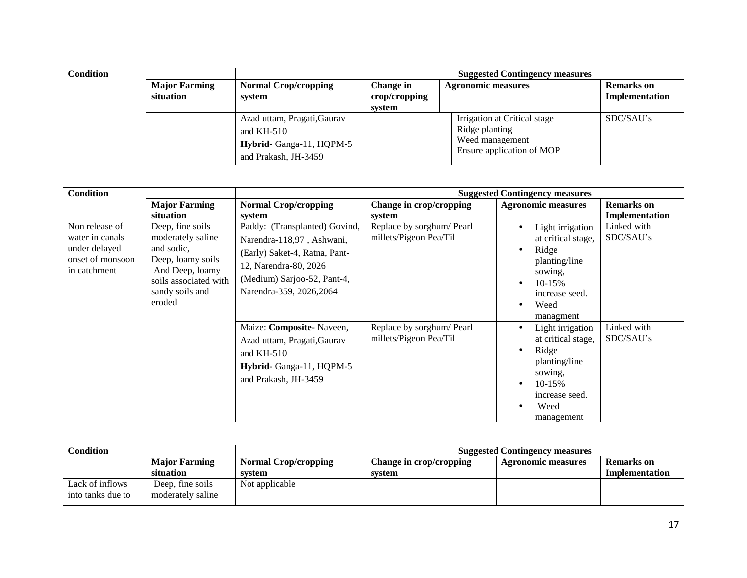| Condition | <b>Suggested Contingency measures</b> |                                                                                                |                                      |                                                                                                |                                     |
|-----------|---------------------------------------|------------------------------------------------------------------------------------------------|--------------------------------------|------------------------------------------------------------------------------------------------|-------------------------------------|
|           | <b>Major Farming</b><br>situation     | <b>Normal Crop/cropping</b><br>system                                                          | Change in<br>crop/cropping<br>system | <b>Agronomic measures</b>                                                                      | <b>Remarks</b> on<br>Implementation |
|           |                                       | Azad uttam, Pragati, Gaurav<br>and $KH-510$<br>Hybrid-Ganga-11, HQPM-5<br>and Prakash, JH-3459 |                                      | Irrigation at Critical stage<br>Ridge planting<br>Weed management<br>Ensure application of MOP | SDC/SAU's                           |

| <b>Condition</b>                                                                       |                                                                                                                                                   |                                                                                                                                                                                 |                                                    | <b>Suggested Contingency measures</b>                                                                                                     |                                     |
|----------------------------------------------------------------------------------------|---------------------------------------------------------------------------------------------------------------------------------------------------|---------------------------------------------------------------------------------------------------------------------------------------------------------------------------------|----------------------------------------------------|-------------------------------------------------------------------------------------------------------------------------------------------|-------------------------------------|
|                                                                                        | <b>Major Farming</b><br>situation                                                                                                                 | <b>Normal Crop/cropping</b><br>system                                                                                                                                           | Change in crop/cropping<br>system                  | <b>Agronomic measures</b>                                                                                                                 | <b>Remarks</b> on<br>Implementation |
| Non release of<br>water in canals<br>under delayed<br>onset of monsoon<br>in catchment | Deep, fine soils<br>moderately saline<br>and sodic,<br>Deep, loamy soils<br>And Deep, loamy<br>soils associated with<br>sandy soils and<br>eroded | Paddy: (Transplanted) Govind,<br>Narendra-118,97, Ashwani,<br>(Early) Saket-4, Ratna, Pant-<br>12, Narendra-80, 2026<br>(Medium) Sarjoo-52, Pant-4,<br>Narendra-359, 2026, 2064 | Replace by sorghum/Pearl<br>millets/Pigeon Pea/Til | Light irrigation<br>at critical stage,<br>Ridge<br>planting/line<br>sowing,<br>10-15%<br>increase seed.<br>Weed<br>$\bullet$<br>managment | Linked with<br>SDC/SAU's            |
|                                                                                        |                                                                                                                                                   | Maize: Composite-Naveen,<br>Azad uttam, Pragati, Gaurav<br>and $KH-510$<br><b>Hybrid-</b> Ganga-11, HQPM-5<br>and Prakash, JH-3459                                              | Replace by sorghum/Pearl<br>millets/Pigeon Pea/Til | Light irrigation<br>at critical stage,<br>Ridge<br>planting/line<br>sowing,<br>10-15%<br>increase seed.<br>Weed<br>management             | Linked with<br>SDC/SAU's            |

| Condition         |                      |                             | <b>Suggested Contingency measures</b> |                           |                   |
|-------------------|----------------------|-----------------------------|---------------------------------------|---------------------------|-------------------|
|                   | <b>Major Farming</b> | <b>Normal Crop/cropping</b> | Change in crop/cropping               | <b>Agronomic measures</b> | <b>Remarks</b> on |
|                   | situation            | system                      | system                                |                           | Implementation    |
| Lack of inflows   | Deep, fine soils     | Not applicable              |                                       |                           |                   |
| into tanks due to | moderately saline    |                             |                                       |                           |                   |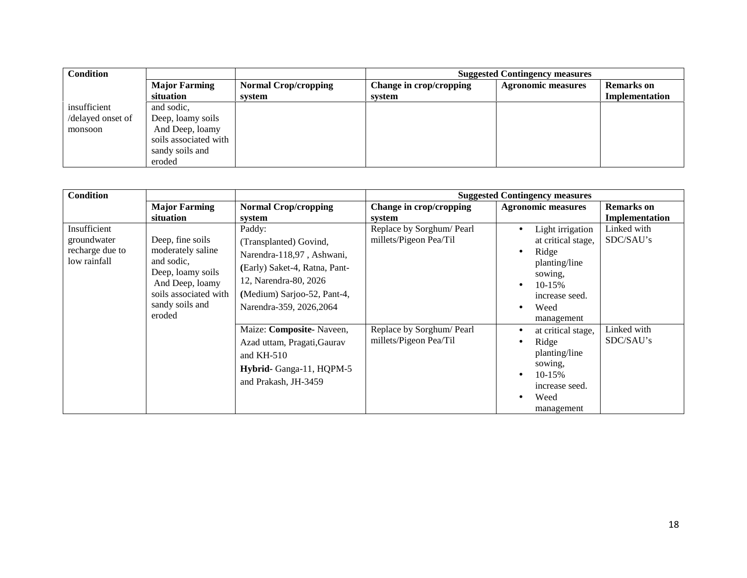| <b>Condition</b>  |                                   |                                       | <b>Suggested Contingency measures</b> |                           |                                     |
|-------------------|-----------------------------------|---------------------------------------|---------------------------------------|---------------------------|-------------------------------------|
|                   | <b>Major Farming</b><br>situation | <b>Normal Crop/cropping</b><br>system | Change in crop/cropping<br>system     | <b>Agronomic measures</b> | <b>Remarks</b> on<br>Implementation |
| insufficient      | and sodic.                        |                                       |                                       |                           |                                     |
| /delayed onset of | Deep, loamy soils                 |                                       |                                       |                           |                                     |
| monsoon           | And Deep, loamy                   |                                       |                                       |                           |                                     |
|                   | soils associated with             |                                       |                                       |                           |                                     |
|                   | sandy soils and                   |                                       |                                       |                           |                                     |
|                   | eroded                            |                                       |                                       |                           |                                     |

| <b>Condition</b>                                               |                                                                                                                                                   |                                                                                                                                                                                    |                                                     | <b>Suggested Contingency measures</b>                                                                                             |                                                      |
|----------------------------------------------------------------|---------------------------------------------------------------------------------------------------------------------------------------------------|------------------------------------------------------------------------------------------------------------------------------------------------------------------------------------|-----------------------------------------------------|-----------------------------------------------------------------------------------------------------------------------------------|------------------------------------------------------|
|                                                                | <b>Major Farming</b><br>situation                                                                                                                 | <b>Normal Crop/cropping</b><br>system                                                                                                                                              | Change in crop/cropping<br>system                   | <b>Agronomic measures</b>                                                                                                         | <b>Remarks</b> on<br>Implementation                  |
| Insufficient<br>groundwater<br>recharge due to<br>low rainfall | Deep, fine soils<br>moderately saline<br>and sodic,<br>Deep, loamy soils<br>And Deep, loamy<br>soils associated with<br>sandy soils and<br>eroded | Paddy:<br>(Transplanted) Govind,<br>Narendra-118,97, Ashwani,<br>(Early) Saket-4, Ratna, Pant-<br>12, Narendra-80, 2026<br>(Medium) Sarjoo-52, Pant-4,<br>Narendra-359, 2026, 2064 | Replace by Sorghum/ Pearl<br>millets/Pigeon Pea/Til | Light irrigation<br>at critical stage,<br>Ridge<br>planting/line<br>sowing,<br>$10 - 15%$<br>increase seed.<br>Weed<br>management | Linked with<br>SDC/SAU's<br>Linked with<br>SDC/SAU's |
|                                                                |                                                                                                                                                   | Maize: Composite-Naveen,<br>Azad uttam, Pragati, Gaurav<br>and $KH-510$<br>Hybrid-Ganga-11, HQPM-5<br>and Prakash, JH-3459                                                         | Replace by Sorghum/ Pearl<br>millets/Pigeon Pea/Til | at critical stage,<br>Ridge<br>planting/line<br>sowing,<br>10-15%<br>increase seed.<br>Weed<br>management                         |                                                      |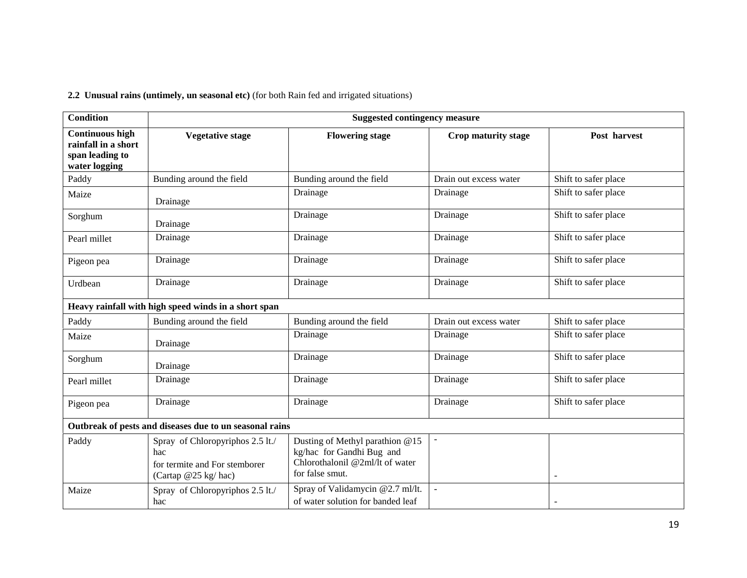**2.2 Unusual rains (untimely, un seasonal etc)** (for both Rain fed and irrigated situations)

| <b>Condition</b>                                                                  | <b>Suggested contingency measure</b>                                                            |                                                                                                                    |                        |                      |  |
|-----------------------------------------------------------------------------------|-------------------------------------------------------------------------------------------------|--------------------------------------------------------------------------------------------------------------------|------------------------|----------------------|--|
| <b>Continuous high</b><br>rainfall in a short<br>span leading to<br>water logging | <b>Vegetative stage</b>                                                                         | <b>Flowering stage</b>                                                                                             | Crop maturity stage    | Post harvest         |  |
| Paddy                                                                             | Bunding around the field                                                                        | Bunding around the field                                                                                           | Drain out excess water | Shift to safer place |  |
| Maize                                                                             | Drainage                                                                                        | Drainage                                                                                                           | Drainage               | Shift to safer place |  |
| Sorghum                                                                           | Drainage                                                                                        | Drainage                                                                                                           | Drainage               | Shift to safer place |  |
| Pearl millet                                                                      | Drainage                                                                                        | Drainage                                                                                                           | Drainage               | Shift to safer place |  |
| Pigeon pea                                                                        | Drainage                                                                                        | Drainage                                                                                                           | Drainage               | Shift to safer place |  |
| Urdbean                                                                           | Drainage                                                                                        | Drainage                                                                                                           | Drainage               | Shift to safer place |  |
|                                                                                   | Heavy rainfall with high speed winds in a short span                                            |                                                                                                                    |                        |                      |  |
| Paddy                                                                             | Bunding around the field                                                                        | Bunding around the field                                                                                           | Drain out excess water | Shift to safer place |  |
| Maize                                                                             | Drainage                                                                                        | Drainage                                                                                                           | Drainage               | Shift to safer place |  |
| Sorghum                                                                           | Drainage                                                                                        | Drainage                                                                                                           | Drainage               | Shift to safer place |  |
| Pearl millet                                                                      | Drainage                                                                                        | Drainage                                                                                                           | Drainage               | Shift to safer place |  |
| Pigeon pea                                                                        | Drainage                                                                                        | Drainage                                                                                                           | Drainage               | Shift to safer place |  |
| Outbreak of pests and diseases due to un seasonal rains                           |                                                                                                 |                                                                                                                    |                        |                      |  |
| Paddy                                                                             | Spray of Chloropyriphos 2.5 lt./<br>hac<br>for termite and For stemborer<br>(Cartap @25 kg/hac) | Dusting of Methyl parathion @15<br>kg/hac for Gandhi Bug and<br>Chlorothalonil @2ml/lt of water<br>for false smut. |                        | $\sim$               |  |
| Maize                                                                             | Spray of Chloropyriphos 2.5 lt./<br>hac                                                         | Spray of Validamycin @2.7 ml/lt.<br>of water solution for banded leaf                                              |                        | $\sim$               |  |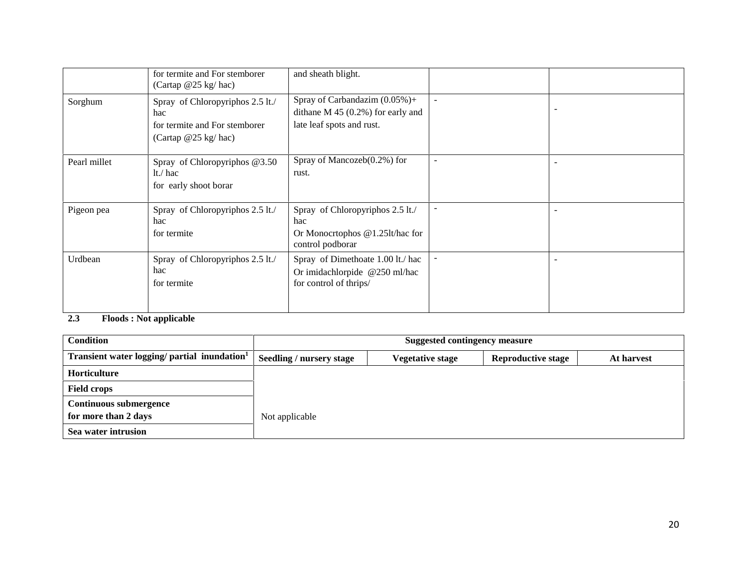|              | for termite and For stemborer<br>(Cartap $@25$ kg/hac)                                            | and sheath blight.                                                                                   |        |                          |
|--------------|---------------------------------------------------------------------------------------------------|------------------------------------------------------------------------------------------------------|--------|--------------------------|
| Sorghum      | Spray of Chloropyriphos 2.5 lt./<br>hac<br>for termite and For stemborer<br>(Cartap $@25$ kg/hac) | Spray of Carbandazim $(0.05\%)+$<br>dithane $M$ 45 (0.2%) for early and<br>late leaf spots and rust. | $\sim$ | $\overline{\phantom{a}}$ |
| Pearl millet | Spray of Chloropyriphos @3.50<br>$lt./$ hac<br>for early shoot borar                              | Spray of Mancozeb $(0.2\%)$ for<br>rust.                                                             |        |                          |
| Pigeon pea   | Spray of Chloropyriphos 2.5 lt./<br>hac<br>for termite                                            | Spray of Chloropyriphos 2.5 lt./<br>hac<br>Or Monocrtophos @1.25lt/hac for<br>control podborar       |        |                          |
| Urdbean      | Spray of Chloropyriphos 2.5 lt./<br>hac<br>for termite                                            | Spray of Dimethoate 1.00 lt./ hac<br>Or imidachlorpide @250 ml/hac<br>for control of thrips/         |        | $\overline{\phantom{0}}$ |

#### **2.3 Floods : Not applicable**

| <b>Condition</b>                                | <b>Suggested contingency measure</b> |                         |                           |            |
|-------------------------------------------------|--------------------------------------|-------------------------|---------------------------|------------|
| Transient water logging/ partial inundation $1$ | <b>Seedling / nursery stage</b>      | <b>Vegetative stage</b> | <b>Reproductive stage</b> | At harvest |
| <b>Horticulture</b>                             |                                      |                         |                           |            |
| <b>Field crops</b>                              |                                      |                         |                           |            |
| Continuous submergence                          |                                      |                         |                           |            |
| for more than 2 days                            | Not applicable                       |                         |                           |            |
| Sea water intrusion                             |                                      |                         |                           |            |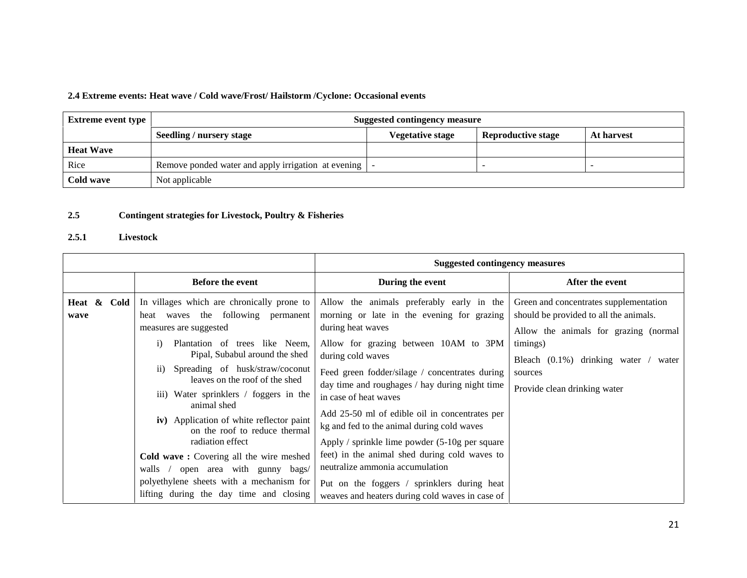#### **2.4 Extreme events: Heat wave / Cold wave/Frost/ Hailstorm /Cyclone: Occasional events**

| <b>Extreme event type</b> | Suggested contingency measure                           |                  |                           |            |  |
|---------------------------|---------------------------------------------------------|------------------|---------------------------|------------|--|
|                           | Seedling / nursery stage                                | Vegetative stage | <b>Reproductive stage</b> | At harvest |  |
| <b>Heat Wave</b>          |                                                         |                  |                           |            |  |
| Rice                      | Remove ponded water and apply irrigation at evening   - |                  |                           |            |  |
| Cold wave                 | Not applicable                                          |                  |                           |            |  |

#### **2.5 Contingent strategies for Livestock, Poultry & Fisheries**

#### **2.5.1 Livestock**

|                     |                                                                                                                                                                                                                                                                                                                                                                                                                                                                                                                                                                                                                                             | <b>Suggested contingency measures</b>                                                                                                                                                                                                                                                                                                                                                                                                                                                                                                                                                                                                               |                                                                                                                                                                                                                             |
|---------------------|---------------------------------------------------------------------------------------------------------------------------------------------------------------------------------------------------------------------------------------------------------------------------------------------------------------------------------------------------------------------------------------------------------------------------------------------------------------------------------------------------------------------------------------------------------------------------------------------------------------------------------------------|-----------------------------------------------------------------------------------------------------------------------------------------------------------------------------------------------------------------------------------------------------------------------------------------------------------------------------------------------------------------------------------------------------------------------------------------------------------------------------------------------------------------------------------------------------------------------------------------------------------------------------------------------------|-----------------------------------------------------------------------------------------------------------------------------------------------------------------------------------------------------------------------------|
|                     | Before the event                                                                                                                                                                                                                                                                                                                                                                                                                                                                                                                                                                                                                            | During the event                                                                                                                                                                                                                                                                                                                                                                                                                                                                                                                                                                                                                                    | After the event                                                                                                                                                                                                             |
| Heat & Cold<br>wave | In villages which are chronically prone to<br>heat waves the following permanent<br>measures are suggested<br>Plantation of trees like Neem,<br>$\mathbf{i}$<br>Pipal, Subabul around the shed<br>Spreading of husk/straw/coconut<br>$\overline{11}$<br>leaves on the roof of the shed<br>iii) Water sprinklers / foggers in the<br>animal shed<br>iv) Application of white reflector paint<br>on the roof to reduce thermal<br>radiation effect<br><b>Cold wave:</b> Covering all the wire meshed<br>walls $\sqrt{ }$<br>open area with gunny bags/<br>polyethylene sheets with a mechanism for<br>lifting during the day time and closing | Allow the animals preferably early in the<br>morning or late in the evening for grazing<br>during heat waves<br>Allow for grazing between 10AM to 3PM<br>during cold waves<br>Feed green fodder/silage / concentrates during<br>day time and roughages / hay during night time<br>in case of heat waves<br>Add 25-50 ml of edible oil in concentrates per<br>kg and fed to the animal during cold waves<br>Apply / sprinkle lime powder $(5-10)$ g per square<br>feet) in the animal shed during cold waves to<br>neutralize ammonia accumulation<br>Put on the foggers / sprinklers during heat<br>weaves and heaters during cold waves in case of | Green and concentrates supplementation<br>should be provided to all the animals.<br>Allow the animals for grazing (normal<br>timings)<br>Bleach $(0.1\%)$ drinking water / water<br>sources<br>Provide clean drinking water |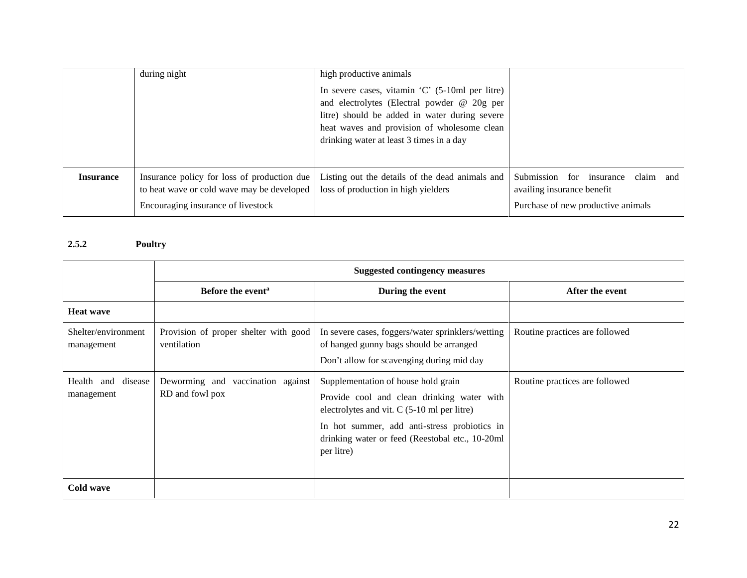|                  | during night                                                                                                                    | high productive animals                                                                                                                                                                                                                     |                                                                                                           |
|------------------|---------------------------------------------------------------------------------------------------------------------------------|---------------------------------------------------------------------------------------------------------------------------------------------------------------------------------------------------------------------------------------------|-----------------------------------------------------------------------------------------------------------|
|                  |                                                                                                                                 | In severe cases, vitamin $C'$ (5-10ml per litre)<br>and electrolytes (Electral powder @ 20g per<br>litre) should be added in water during severe<br>heat waves and provision of wholesome clean<br>drinking water at least 3 times in a day |                                                                                                           |
| <b>Insurance</b> | Insurance policy for loss of production due<br>to heat wave or cold wave may be developed<br>Encouraging insurance of livestock | Listing out the details of the dead animals and<br>loss of production in high yielders                                                                                                                                                      | Submission for insurance<br>claim and<br>availing insurance benefit<br>Purchase of new productive animals |

## **2.5.2 Poultry**

|                                     | <b>Suggested contingency measures</b>                   |                                                                                                                                                                                                                                                     |                                |  |
|-------------------------------------|---------------------------------------------------------|-----------------------------------------------------------------------------------------------------------------------------------------------------------------------------------------------------------------------------------------------------|--------------------------------|--|
|                                     | Before the event <sup>a</sup>                           | During the event                                                                                                                                                                                                                                    | After the event                |  |
| <b>Heat wave</b>                    |                                                         |                                                                                                                                                                                                                                                     |                                |  |
| Shelter/environment<br>management   | Provision of proper shelter with good<br>ventilation    | In severe cases, foggers/water sprinklers/wetting<br>of hanged gunny bags should be arranged<br>Don't allow for scavenging during mid day                                                                                                           | Routine practices are followed |  |
| Health<br>and disease<br>management | Deworming and<br>vaccination against<br>RD and fowl pox | Supplementation of house hold grain<br>Provide cool and clean drinking water with<br>electrolytes and vit. $C$ (5-10 ml per litre)<br>In hot summer, add anti-stress probiotics in<br>drinking water or feed (Reestobal etc., 10-20ml<br>per litre) | Routine practices are followed |  |
| Cold wave                           |                                                         |                                                                                                                                                                                                                                                     |                                |  |